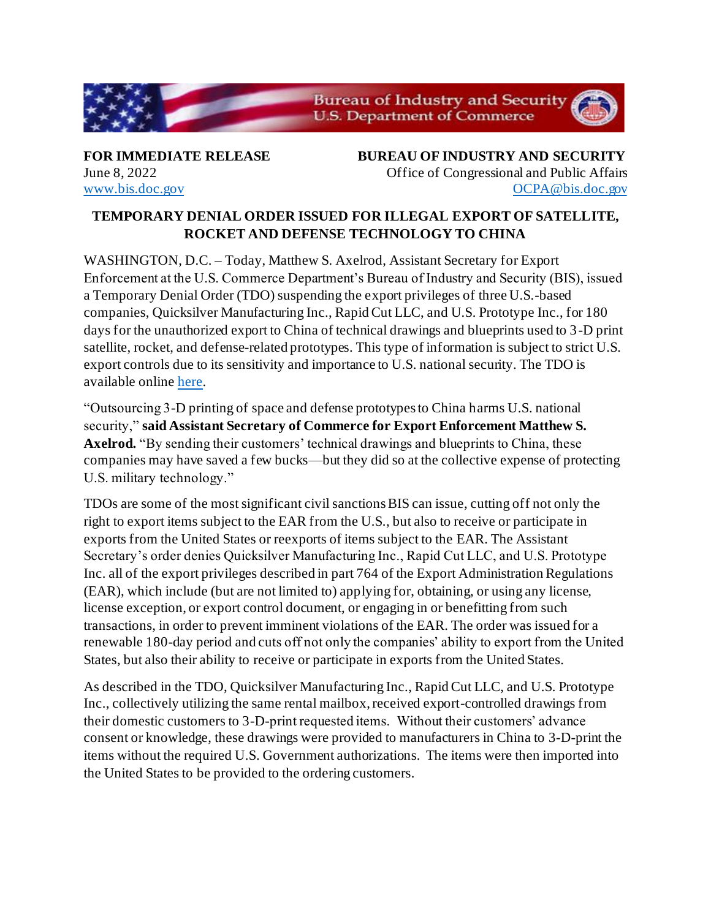

**FOR IMMEDIATE RELEASE BUREAU OF INDUSTRY AND SECURITY** June 8, 2022 Office of Congressional and Public Affairs www.bis.doc.gov OCPA@bis.doc.gov

## **TEMPORARY DENIAL ORDER ISSUED FOR ILLEGAL EXPORT OF SATELLITE, ROCKET AND DEFENSE TECHNOLOGY TO CHINA**

WASHINGTON, D.C. – Today, Matthew S. Axelrod, Assistant Secretary for Export Enforcement at the U.S. Commerce Department's Bureau of Industry and Security (BIS), issued a Temporary Denial Order (TDO) suspending the export privileges of three U.S.-based companies, Quicksilver Manufacturing Inc., Rapid Cut LLC, and U.S. Prototype Inc., for 180 days for the unauthorized export to China of technical drawings and blueprints used to 3-D print satellite, rocket, and defense-related prototypes. This type of information is subject to strict U.S. export controls due to its sensitivity and importance to U.S. national security. The TDO is available onlin[e here](https://efoia.bis.doc.gov/index.php/electronic-foia/index-of-documents/7-electronic-foia/227-export-violations).

"Outsourcing 3-D printing of space and defense prototypes to China harms U.S. national security," **said Assistant Secretary of Commerce for Export Enforcement Matthew S. Axelrod.** "By sending their customers' technical drawings and blueprints to China, these companies may have saved a few bucks—but they did so at the collective expense of protecting U.S. military technology."

TDOs are some of the most significant civil sanctions BIS can issue, cutting off not only the right to export items subject to the EAR from the U.S., but also to receive or participate in exports from the United States or reexports of items subject to the EAR. The Assistant Secretary's order denies Quicksilver Manufacturing Inc., Rapid Cut LLC, and U.S. Prototype Inc. all of the export privileges described in part 764 of the Export Administration Regulations (EAR), which include (but are not limited to) applying for, obtaining, or using any license, license exception, or export control document, or engaging in or benefitting from such transactions, in order to prevent imminent violations of the EAR. The order was issued for a renewable 180-day period and cuts off not only the companies' ability to export from the United States, but also their ability to receive or participate in exports from the United States.

As described in the TDO, Quicksilver Manufacturing Inc., Rapid Cut LLC, and U.S. Prototype Inc., collectively utilizing the same rental mailbox, received export-controlled drawings from their domestic customers to 3-D-print requested items. Without their customers' advance consent or knowledge, these drawings were provided to manufacturers in China to 3-D-print the items without the required U.S. Government authorizations. The items were then imported into the United States to be provided to the ordering customers.